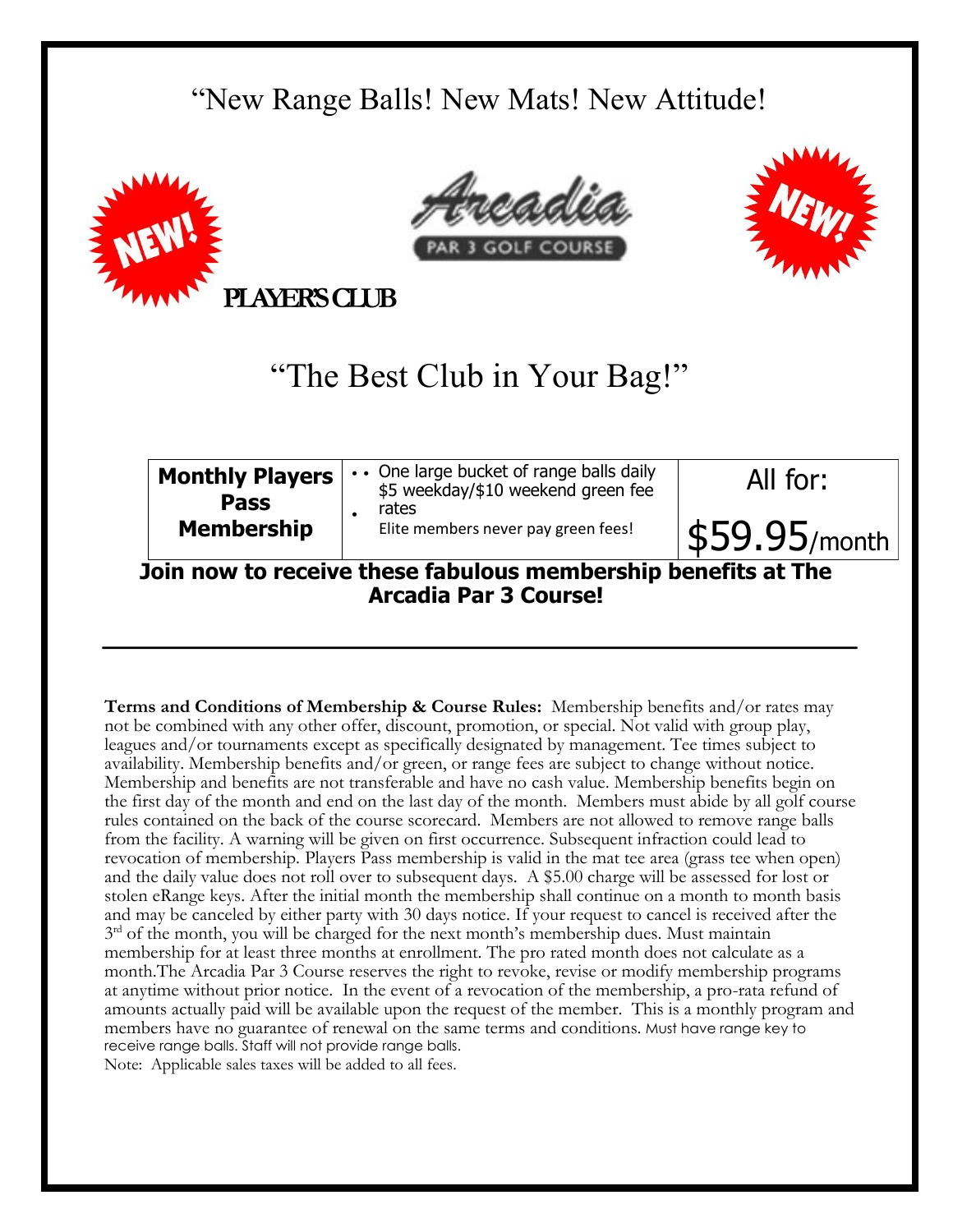## "New Range Balls! New Mats! New Attitude!







**PLAYER'S CLUB** 

## "The Best Club in Your Bag!"

| <b>Monthly Players</b><br><b>Pass</b>                         | One large bucket of range balls daily<br>\$5 weekday/\$10 weekend green fee | All for:                      |
|---------------------------------------------------------------|-----------------------------------------------------------------------------|-------------------------------|
| <b>Membership</b>                                             | rates<br>Elite members never pay green fees!                                | $\vert$ \$59.95/month $\vert$ |
| Join now to receive these fabulous membership benefits at The |                                                                             |                               |

**Join now to receive these fabulous membership benefits at The Arcadia Par 3 Course!** 

**Terms and Conditions of Membership & Course Rules:** Membership benefits and/or rates may not be combined with any other offer, discount, promotion, or special. Not valid with group play, leagues and/or tournaments except as specifically designated by management. Tee times subject to availability. Membership benefits and/or green, or range fees are subject to change without notice. Membership and benefits are not transferable and have no cash value. Membership benefits begin on the first day of the month and end on the last day of the month. Members must abide by all golf course rules contained on the back of the course scorecard. Members are not allowed to remove range balls from the facility. A warning will be given on first occurrence. Subsequent infraction could lead to revocation of membership. Players Pass membership is valid in the mat tee area (grass tee when open) and the daily value does not roll over to subsequent days. A \$5.00 charge will be assessed for lost or stolen eRange keys. After the initial month the membership shall continue on a month to month basis and may be canceled by either party with 30 days notice. If your request to cancel is received after the 3<sup>rd</sup> of the month, you will be charged for the next month's membership dues. Must maintain membership for at least three months at enrollment. The pro rated month does not calculate as a month.The Arcadia Par 3 Course reserves the right to revoke, revise or modify membership programs at anytime without prior notice. In the event of a revocation of the membership, a pro-rata refund of amounts actually paid will be available upon the request of the member. This is a monthly program and members have no guarantee of renewal on the same terms and conditions. Must have range key to receive range balls. Staff will not provide range balls. Note: Applicable sales taxes will be added to all fees.